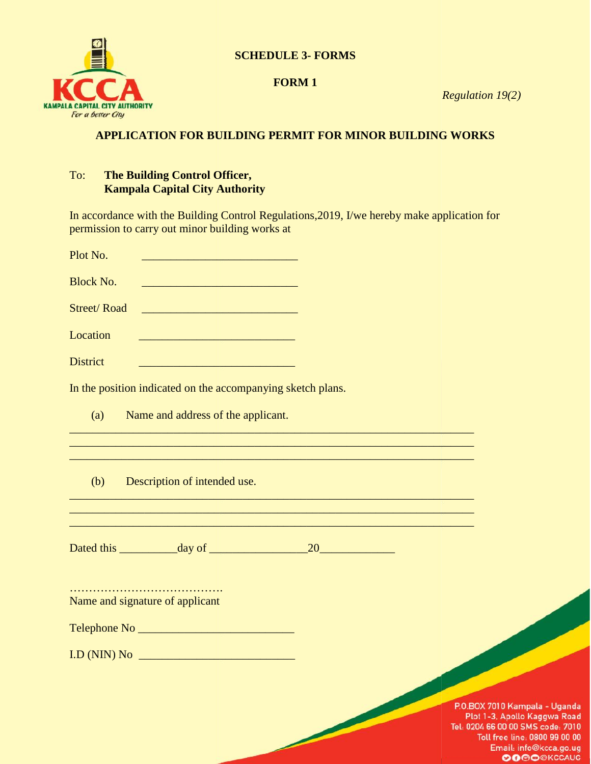

# **SCHEDULE 3- FORMS**

#### **FORM 1**

*Regulation 19(2) Regulation* 

# **APPLICATION FOR BUILDING PERMIT FOR MINOR BUILDING WORKS BUILDING FOR MINOR**

### To: **The Building Control Officer, Kampala Capital City Authority**

In accordance with the Building Control Regulations,2019, I/we hereby make application for

| permission to carry out minor building works at                                                                                                                                                                                      |                                                                                                                       |                                                                                                                      |                                                         |
|--------------------------------------------------------------------------------------------------------------------------------------------------------------------------------------------------------------------------------------|-----------------------------------------------------------------------------------------------------------------------|----------------------------------------------------------------------------------------------------------------------|---------------------------------------------------------|
| Plot No.                                                                                                                                                                                                                             | <u> 1999 - Johann John Harry, mars eta politikar</u>                                                                  |                                                                                                                      |                                                         |
| <b>Block No.</b>                                                                                                                                                                                                                     |                                                                                                                       |                                                                                                                      |                                                         |
| <b>Street/Road</b>                                                                                                                                                                                                                   | <u> 2002 - Jan James James, politik eta provincia eta provincia eta provincia eta provincia eta provincia eta pro</u> |                                                                                                                      |                                                         |
| Location                                                                                                                                                                                                                             |                                                                                                                       |                                                                                                                      |                                                         |
| <b>District</b>                                                                                                                                                                                                                      |                                                                                                                       |                                                                                                                      |                                                         |
| In the position indicated on the accompanying sketch plans.                                                                                                                                                                          |                                                                                                                       |                                                                                                                      |                                                         |
| (a)                                                                                                                                                                                                                                  | Name and address of the applicant.                                                                                    |                                                                                                                      |                                                         |
|                                                                                                                                                                                                                                      |                                                                                                                       | <u> 1999 - 1999 - 1999 - 1999 - 1999 - 1999 - 1999 - 1999 - 1999 - 1999 - 1999 - 1999 - 1999 - 1999 - 1999 - 199</u> |                                                         |
| (b)                                                                                                                                                                                                                                  | Description of intended use.                                                                                          |                                                                                                                      |                                                         |
|                                                                                                                                                                                                                                      |                                                                                                                       |                                                                                                                      |                                                         |
| Name and signature of applicant                                                                                                                                                                                                      |                                                                                                                       |                                                                                                                      |                                                         |
| Telephone No <b>with the Common Common Common Common Common Common Common Common Common Common Common Common Common Common Common Common Common Common Common Common Common Common Common Common Common Common Common Common Com</b> |                                                                                                                       |                                                                                                                      |                                                         |
| I.D (NIN) No                                                                                                                                                                                                                         | <b>Contract Contract Contract Contract Contract Contract Contract Contract Contract Contract Contract Contract Co</b> |                                                                                                                      |                                                         |
|                                                                                                                                                                                                                                      |                                                                                                                       |                                                                                                                      |                                                         |
|                                                                                                                                                                                                                                      |                                                                                                                       |                                                                                                                      | P.O.BOX 7010 Ka<br>Plot 1-3, Apol<br>Tel: 0204 66 00 00 |

P.O.BOX 7010 Kampala - Uganda Plot 1-3, Apollo Kaggwa Road l: 0204 66 00 00 SMS code: 7010 Toll free line: 0800 99 00 00 Email: info@kcca.go.ug **OOOOOKCCAUG**